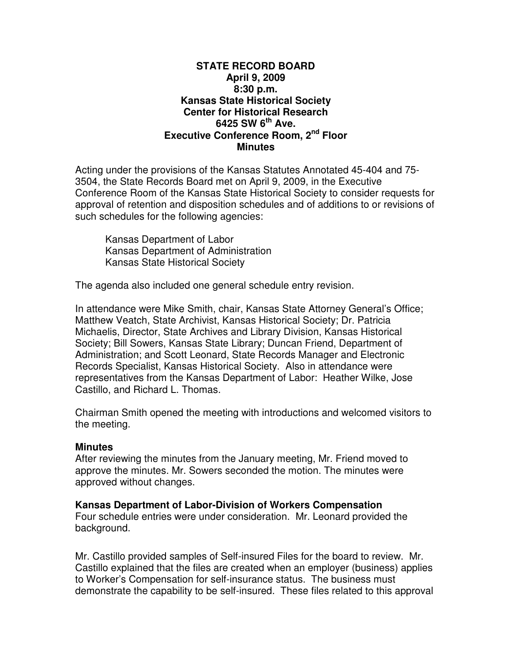### **STATE RECORD BOARD April 9, 2009 8:30 p.m. Kansas State Historical Society Center for Historical Research 6425 SW 6th Ave. Executive Conference Room, 2nd Floor Minutes**

Acting under the provisions of the Kansas Statutes Annotated 45-404 and 75- 3504, the State Records Board met on April 9, 2009, in the Executive Conference Room of the Kansas State Historical Society to consider requests for approval of retention and disposition schedules and of additions to or revisions of such schedules for the following agencies:

Kansas Department of Labor Kansas Department of Administration Kansas State Historical Society

The agenda also included one general schedule entry revision.

In attendance were Mike Smith, chair, Kansas State Attorney General's Office; Matthew Veatch, State Archivist, Kansas Historical Society; Dr. Patricia Michaelis, Director, State Archives and Library Division, Kansas Historical Society; Bill Sowers, Kansas State Library; Duncan Friend, Department of Administration; and Scott Leonard, State Records Manager and Electronic Records Specialist, Kansas Historical Society. Also in attendance were representatives from the Kansas Department of Labor: Heather Wilke, Jose Castillo, and Richard L. Thomas.

Chairman Smith opened the meeting with introductions and welcomed visitors to the meeting.

## **Minutes**

After reviewing the minutes from the January meeting, Mr. Friend moved to approve the minutes. Mr. Sowers seconded the motion. The minutes were approved without changes.

## **Kansas Department of Labor-Division of Workers Compensation**

Four schedule entries were under consideration. Mr. Leonard provided the background.

Mr. Castillo provided samples of Self-insured Files for the board to review. Mr. Castillo explained that the files are created when an employer (business) applies to Worker's Compensation for self-insurance status. The business must demonstrate the capability to be self-insured. These files related to this approval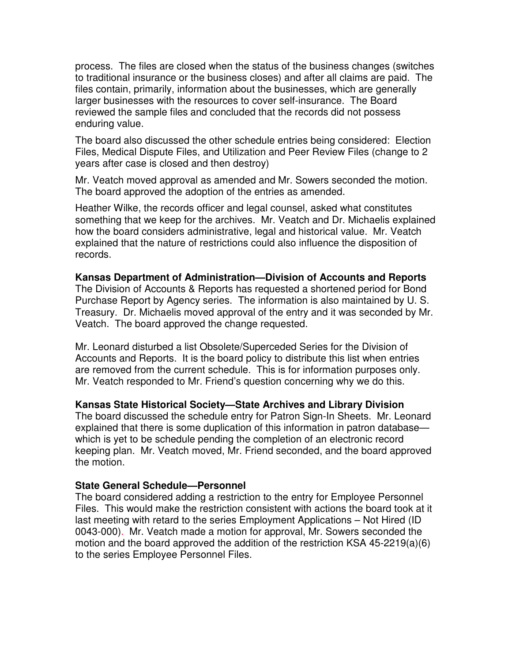process. The files are closed when the status of the business changes (switches to traditional insurance or the business closes) and after all claims are paid. The files contain, primarily, information about the businesses, which are generally larger businesses with the resources to cover self-insurance. The Board reviewed the sample files and concluded that the records did not possess enduring value.

The board also discussed the other schedule entries being considered: Election Files, Medical Dispute Files, and Utilization and Peer Review Files (change to 2 years after case is closed and then destroy)

Mr. Veatch moved approval as amended and Mr. Sowers seconded the motion. The board approved the adoption of the entries as amended.

Heather Wilke, the records officer and legal counsel, asked what constitutes something that we keep for the archives. Mr. Veatch and Dr. Michaelis explained how the board considers administrative, legal and historical value. Mr. Veatch explained that the nature of restrictions could also influence the disposition of records.

# **Kansas Department of Administration—Division of Accounts and Reports**

The Division of Accounts & Reports has requested a shortened period for Bond Purchase Report by Agency series. The information is also maintained by U. S. Treasury. Dr. Michaelis moved approval of the entry and it was seconded by Mr. Veatch. The board approved the change requested.

Mr. Leonard disturbed a list Obsolete/Superceded Series for the Division of Accounts and Reports. It is the board policy to distribute this list when entries are removed from the current schedule. This is for information purposes only. Mr. Veatch responded to Mr. Friend's question concerning why we do this.

## **Kansas State Historical Society—State Archives and Library Division**

The board discussed the schedule entry for Patron Sign-In Sheets. Mr. Leonard explained that there is some duplication of this information in patron database which is yet to be schedule pending the completion of an electronic record keeping plan. Mr. Veatch moved, Mr. Friend seconded, and the board approved the motion.

## **State General Schedule—Personnel**

The board considered adding a restriction to the entry for Employee Personnel Files. This would make the restriction consistent with actions the board took at it last meeting with retard to the series Employment Applications – Not Hired (ID 0043-000). Mr. Veatch made a motion for approval, Mr. Sowers seconded the motion and the board approved the addition of the restriction KSA 45-2219(a)(6) to the series Employee Personnel Files.